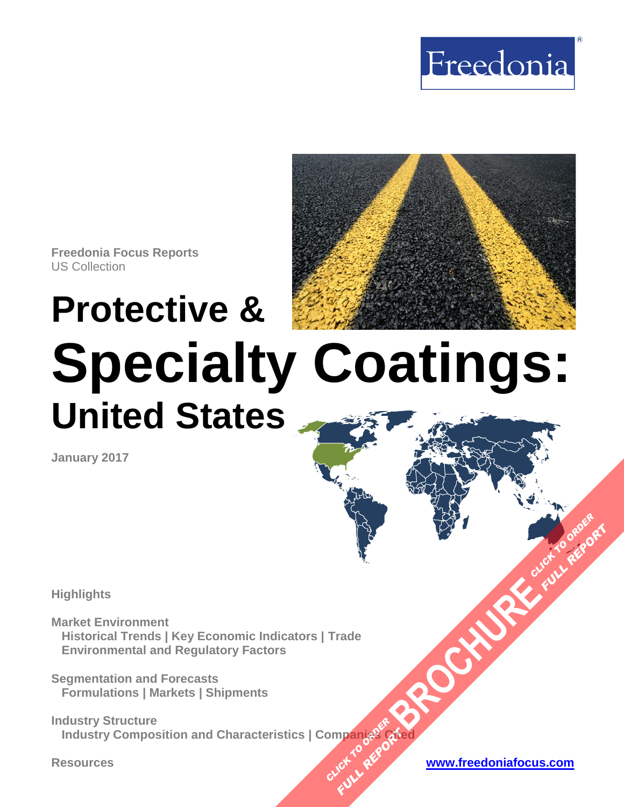



**Freedonia Focus Reports** US Collection

# **Protective & Specialty Coatings: United States**

**January 2017**

**Highlights**

**Market Environment Historical Trends | Key Economic Indicators | Trade Environmental and Regulatory Factors**

**Segmentation and Forecasts Formulations | Markets | Shipments**

**Industry Structure Industry Composition and Characteristics | Companies Cited [BROCHURE](http://www.freedoniagroup.com/FocusDetails.aspx?ReferrerId=FM-FocusBro&ReportID=FF35106) CLICK TO ORDER OMPangages Planding Arts** 

**FULL REPORT**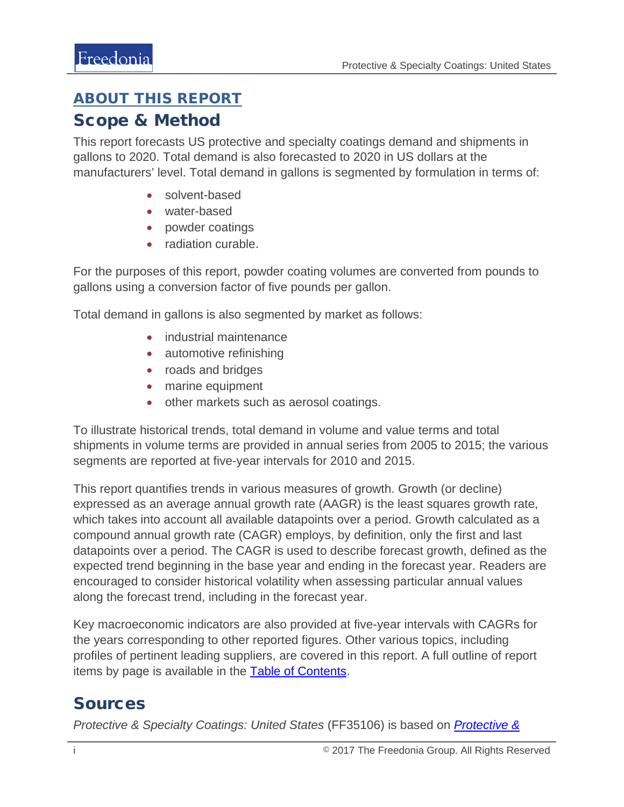## <span id="page-1-0"></span>ABOUT THIS REPORT

### Scope & Method

This report forecasts US protective and specialty coatings demand and shipments in gallons to 2020. Total demand is also forecasted to 2020 in US dollars at the manufacturers' level. Total demand in gallons is segmented by formulation in terms of:

- solvent-based
- water-based
- powder coatings
- radiation curable.

For the purposes of this report, powder coating volumes are converted from pounds to gallons using a conversion factor of five pounds per gallon.

Total demand in gallons is also segmented by market as follows:

- industrial maintenance
- automotive refinishing
- roads and bridges
- marine equipment
- other markets such as aerosol coatings.

To illustrate historical trends, total demand in volume and value terms and total shipments in volume terms are provided in annual series from 2005 to 2015; the various segments are reported at five-year intervals for 2010 and 2015.

This report quantifies trends in various measures of growth. Growth (or decline) expressed as an average annual growth rate (AAGR) is the least squares growth rate, which takes into account all available datapoints over a period. Growth calculated as a compound annual growth rate (CAGR) employs, by definition, only the first and last datapoints over a period. The CAGR is used to describe forecast growth, defined as the expected trend beginning in the base year and ending in the forecast year. Readers are encouraged to consider historical volatility when assessing particular annual values along the forecast trend, including in the forecast year.

Key macroeconomic indicators are also provided at five-year intervals with CAGRs for the years corresponding to other reported figures. Other various topics, including profiles of pertinent leading suppliers, are covered in this report. A full outline of report items by page is available in the [Table of Contents.](#page-3-0)

## Sources

*Protective & Specialty Coatings: United States* (FF35106) is based on *[Protective &](http://www.freedoniagroup.com/DocumentDetails.aspx?ReferrerId=FL-FOCUS&studyid=3496)*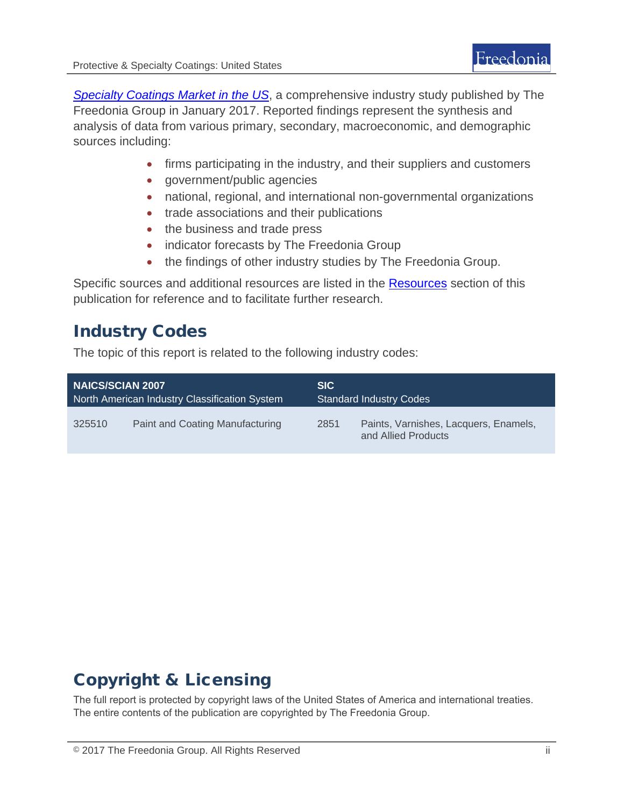*[Specialty Coatings Market in the US](http://www.freedoniagroup.com/DocumentDetails.aspx?ReferrerId=FL-FOCUS&studyid=3496)*, a comprehensive industry study published by The Freedonia Group in January 2017. Reported findings represent the synthesis and analysis of data from various primary, secondary, macroeconomic, and demographic sources including:

- firms participating in the industry, and their suppliers and customers
- government/public agencies
- national, regional, and international non-governmental organizations
- trade associations and their publications
- the business and trade press
- indicator forecasts by The Freedonia Group
- the findings of other industry studies by The Freedonia Group.

Specific sources and additional resources are listed in the **Resources** section of this publication for reference and to facilitate further research.

## Industry Codes

The topic of this report is related to the following industry codes:

| <b>NAICS/SCIAN 2007</b>                       |                                 | <b>SIC</b>                     |                                                              |
|-----------------------------------------------|---------------------------------|--------------------------------|--------------------------------------------------------------|
| North American Industry Classification System |                                 | <b>Standard Industry Codes</b> |                                                              |
| 325510                                        | Paint and Coating Manufacturing | 2851                           | Paints, Varnishes, Lacquers, Enamels,<br>and Allied Products |

# Copyright & Licensing

The full report is protected by copyright laws of the United States of America and international treaties. The entire contents of the publication are copyrighted by The Freedonia Group.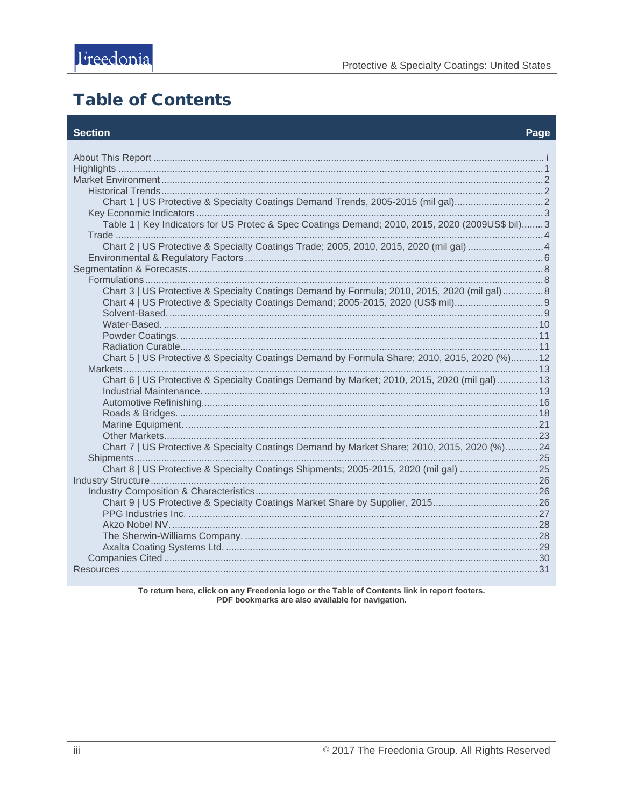# <span id="page-3-0"></span>**Table of Contents**

#### **Section**

| Chart 1   US Protective & Specialty Coatings Demand Trends, 2005-2015 (mil gal)<br>Table 1   Key Indicators for US Protec & Spec Coatings Demand; 2010, 2015, 2020 (2009US\$ bil)3  |  |
|-------------------------------------------------------------------------------------------------------------------------------------------------------------------------------------|--|
| Chart 2   US Protective & Specialty Coatings Trade; 2005, 2010, 2015, 2020 (mil gal) 4                                                                                              |  |
| Chart 3   US Protective & Specialty Coatings Demand by Formula; 2010, 2015, 2020 (mil gal)  8                                                                                       |  |
|                                                                                                                                                                                     |  |
| Chart 5   US Protective & Specialty Coatings Demand by Formula Share; 2010, 2015, 2020 (%) 12                                                                                       |  |
| Chart 6   US Protective & Specialty Coatings Demand by Market; 2010, 2015, 2020 (mil gal)  13                                                                                       |  |
|                                                                                                                                                                                     |  |
| Chart 7   US Protective & Specialty Coatings Demand by Market Share; 2010, 2015, 2020 (%)24<br>Chart 8   US Protective & Specialty Coatings Shipments; 2005-2015, 2020 (mil gal) 25 |  |
| Chart 9   US Protective & Specialty Coatings Market Share by Supplier, 201526                                                                                                       |  |
|                                                                                                                                                                                     |  |
|                                                                                                                                                                                     |  |

To return here, click on any Freedonia logo or the Table of Contents link in report footers.<br>PDF bookmarks are also available for navigation.